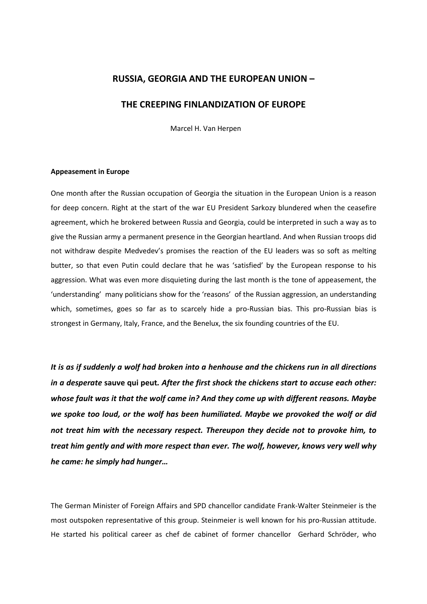# RUSSIA, GEORGIA AND THE EUROPEAN UNION –

# THE CREEPING FINLANDIZATION OF EUROPE

Marcel H. Van Herpen

### Appeasement in Europe

One month after the Russian occupation of Georgia the situation in the European Union is a reason for deep concern. Right at the start of the war EU President Sarkozy blundered when the ceasefire agreement, which he brokered between Russia and Georgia, could be interpreted in such a way as to give the Russian army a permanent presence in the Georgian heartland. And when Russian troops did not withdraw despite Medvedev's promises the reaction of the EU leaders was so soft as melting butter, so that even Putin could declare that he was 'satisfied' by the European response to his aggression. What was even more disquieting during the last month is the tone of appeasement, the 'understanding' many politicians show for the 'reasons' of the Russian aggression, an understanding which, sometimes, goes so far as to scarcely hide a pro-Russian bias. This pro-Russian bias is strongest in Germany, Italy, France, and the Benelux, the six founding countries of the EU.

It is as if suddenly a wolf had broken into a henhouse and the chickens run in all directions in a desperate sauve qui peut. After the first shock the chickens start to accuse each other: whose fault was it that the wolf came in? And they come up with different reasons. Maybe we spoke too loud, or the wolf has been humiliated. Maybe we provoked the wolf or did not treat him with the necessary respect. Thereupon they decide not to provoke him, to treat him gently and with more respect than ever. The wolf, however, knows very well why he came: he simply had hunger…

The German Minister of Foreign Affairs and SPD chancellor candidate Frank-Walter Steinmeier is the most outspoken representative of this group. Steinmeier is well known for his pro-Russian attitude. He started his political career as chef de cabinet of former chancellor Gerhard Schröder, who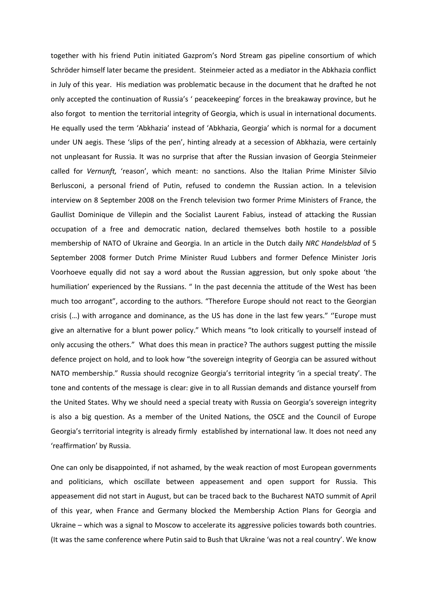together with his friend Putin initiated Gazprom's Nord Stream gas pipeline consortium of which Schröder himself later became the president. Steinmeier acted as a mediator in the Abkhazia conflict in July of this year. His mediation was problematic because in the document that he drafted he not only accepted the continuation of Russia's ' peacekeeping' forces in the breakaway province, but he also forgot to mention the territorial integrity of Georgia, which is usual in international documents. He equally used the term 'Abkhazia' instead of 'Abkhazia, Georgia' which is normal for a document under UN aegis. These 'slips of the pen', hinting already at a secession of Abkhazia, were certainly not unpleasant for Russia. It was no surprise that after the Russian invasion of Georgia Steinmeier called for Vernunft, 'reason', which meant: no sanctions. Also the Italian Prime Minister Silvio Berlusconi, a personal friend of Putin, refused to condemn the Russian action. In a television interview on 8 September 2008 on the French television two former Prime Ministers of France, the Gaullist Dominique de Villepin and the Socialist Laurent Fabius, instead of attacking the Russian occupation of a free and democratic nation, declared themselves both hostile to a possible membership of NATO of Ukraine and Georgia. In an article in the Dutch daily NRC Handelsblad of 5 September 2008 former Dutch Prime Minister Ruud Lubbers and former Defence Minister Joris Voorhoeve equally did not say a word about the Russian aggression, but only spoke about 'the humiliation' experienced by the Russians. " In the past decennia the attitude of the West has been much too arrogant", according to the authors. "Therefore Europe should not react to the Georgian crisis (…) with arrogance and dominance, as the US has done in the last few years." ''Europe must give an alternative for a blunt power policy." Which means "to look critically to yourself instead of only accusing the others." What does this mean in practice? The authors suggest putting the missile defence project on hold, and to look how "the sovereign integrity of Georgia can be assured without NATO membership." Russia should recognize Georgia's territorial integrity 'in a special treaty'. The tone and contents of the message is clear: give in to all Russian demands and distance yourself from the United States. Why we should need a special treaty with Russia on Georgia's sovereign integrity is also a big question. As a member of the United Nations, the OSCE and the Council of Europe Georgia's territorial integrity is already firmly established by international law. It does not need any 'reaffirmation' by Russia.

One can only be disappointed, if not ashamed, by the weak reaction of most European governments and politicians, which oscillate between appeasement and open support for Russia. This appeasement did not start in August, but can be traced back to the Bucharest NATO summit of April of this year, when France and Germany blocked the Membership Action Plans for Georgia and Ukraine – which was a signal to Moscow to accelerate its aggressive policies towards both countries. (It was the same conference where Putin said to Bush that Ukraine 'was not a real country'. We know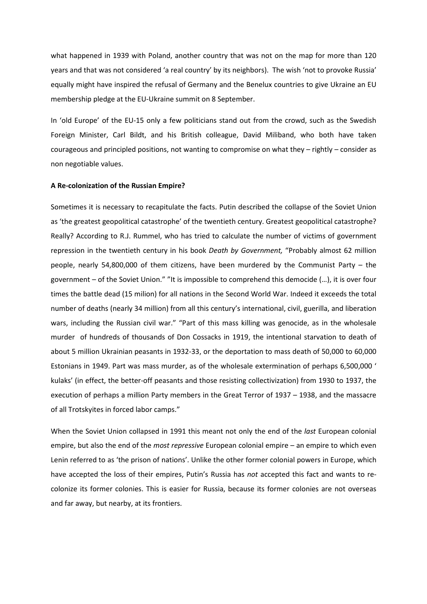what happened in 1939 with Poland, another country that was not on the map for more than 120 years and that was not considered 'a real country' by its neighbors). The wish 'not to provoke Russia' equally might have inspired the refusal of Germany and the Benelux countries to give Ukraine an EU membership pledge at the EU-Ukraine summit on 8 September.

In 'old Europe' of the EU-15 only a few politicians stand out from the crowd, such as the Swedish Foreign Minister, Carl Bildt, and his British colleague, David Miliband, who both have taken courageous and principled positions, not wanting to compromise on what they – rightly – consider as non negotiable values.

## A Re-colonization of the Russian Empire?

Sometimes it is necessary to recapitulate the facts. Putin described the collapse of the Soviet Union as 'the greatest geopolitical catastrophe' of the twentieth century. Greatest geopolitical catastrophe? Really? According to R.J. Rummel, who has tried to calculate the number of victims of government repression in the twentieth century in his book Death by Government, "Probably almost 62 million people, nearly 54,800,000 of them citizens, have been murdered by the Communist Party – the government – of the Soviet Union." "It is impossible to comprehend this democide (…), it is over four times the battle dead (15 milion) for all nations in the Second World War. Indeed it exceeds the total number of deaths (nearly 34 million) from all this century's international, civil, guerilla, and liberation wars, including the Russian civil war." "Part of this mass killing was genocide, as in the wholesale murder of hundreds of thousands of Don Cossacks in 1919, the intentional starvation to death of about 5 million Ukrainian peasants in 1932-33, or the deportation to mass death of 50,000 to 60,000 Estonians in 1949. Part was mass murder, as of the wholesale extermination of perhaps 6,500,000 ' kulaks' (in effect, the better-off peasants and those resisting collectivization) from 1930 to 1937, the execution of perhaps a million Party members in the Great Terror of 1937 – 1938, and the massacre of all Trotskyites in forced labor camps."

When the Soviet Union collapsed in 1991 this meant not only the end of the *last* European colonial empire, but also the end of the *most repressive* European colonial empire – an empire to which even Lenin referred to as 'the prison of nations'. Unlike the other former colonial powers in Europe, which have accepted the loss of their empires, Putin's Russia has not accepted this fact and wants to recolonize its former colonies. This is easier for Russia, because its former colonies are not overseas and far away, but nearby, at its frontiers.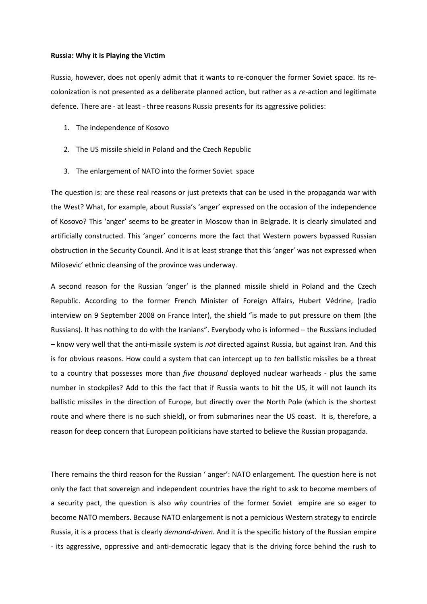#### Russia: Why it is Playing the Victim

Russia, however, does not openly admit that it wants to re-conquer the former Soviet space. Its recolonization is not presented as a deliberate planned action, but rather as a re-action and legitimate defence. There are - at least - three reasons Russia presents for its aggressive policies:

- 1. The independence of Kosovo
- 2. The US missile shield in Poland and the Czech Republic
- 3. The enlargement of NATO into the former Soviet space

The question is: are these real reasons or just pretexts that can be used in the propaganda war with the West? What, for example, about Russia's 'anger' expressed on the occasion of the independence of Kosovo? This 'anger' seems to be greater in Moscow than in Belgrade. It is clearly simulated and artificially constructed. This 'anger' concerns more the fact that Western powers bypassed Russian obstruction in the Security Council. And it is at least strange that this 'anger' was not expressed when Milosevic' ethnic cleansing of the province was underway.

A second reason for the Russian 'anger' is the planned missile shield in Poland and the Czech Republic. According to the former French Minister of Foreign Affairs, Hubert Védrine, (radio interview on 9 September 2008 on France Inter), the shield "is made to put pressure on them (the Russians). It has nothing to do with the Iranians". Everybody who is informed – the Russians included – know very well that the anti-missile system is not directed against Russia, but against Iran. And this is for obvious reasons. How could a system that can intercept up to ten ballistic missiles be a threat to a country that possesses more than *five thousand* deployed nuclear warheads - plus the same number in stockpiles? Add to this the fact that if Russia wants to hit the US, it will not launch its ballistic missiles in the direction of Europe, but directly over the North Pole (which is the shortest route and where there is no such shield), or from submarines near the US coast. It is, therefore, a reason for deep concern that European politicians have started to believe the Russian propaganda.

There remains the third reason for the Russian ' anger': NATO enlargement. The question here is not only the fact that sovereign and independent countries have the right to ask to become members of a security pact, the question is also why countries of the former Soviet empire are so eager to become NATO members. Because NATO enlargement is not a pernicious Western strategy to encircle Russia, it is a process that is clearly *demand-driven*. And it is the specific history of the Russian empire - its aggressive, oppressive and anti-democratic legacy that is the driving force behind the rush to